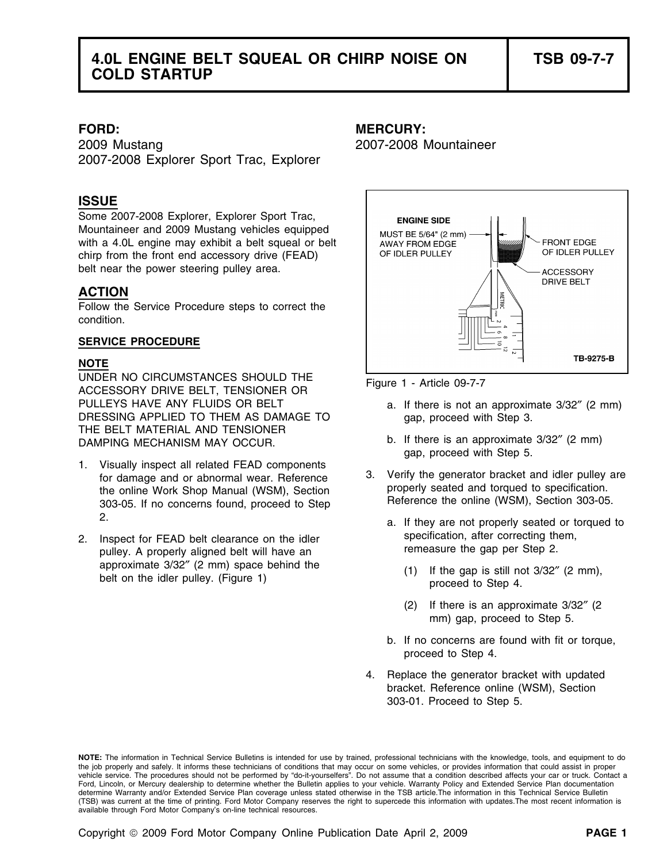2009 Mustang 2007-2008 Mountaineer 2007-2008 Explorer Sport Trac, Explorer

## **ISSUE**

Some 2007-2008 Explorer, Explorer Sport Trac, Mountaineer and 2009 Mustang vehicles equipped with a 4.0L engine may exhibit a belt squeal or belt chirp from the front end accessory drive (FEAD) belt near the power steering pulley area.

# **ACTION**

Follow the Service Procedure steps to correct the condition.

### **SERVICE PROCEDURE**

### **NOTE**

UNDER NO CIRCUMSTANCES SHOULD THE Figure 1 - Article 09-7-7<br>ACCESSORY DRIVE BELT, TENSIONER OR PULLEYS HAVE ANY FLUIDS OR BELT a. If there is not an approximate 3/32" (2 mm) DRESSING APPLIED TO THEM AS DAMAGE TO gap, proceed with Step 3. THE BELT MATERIAL AND TENSIONER DAMPING MECHANISM MAY OCCUR. b. If there is an approximate 3/32" (2 mm)

- 1. Visually inspect all related FEAD components<br>for damage and or abnormal wear. Reference<br>the online Work Shop Manual (WSM), Section<br>303-05. If no concerns found, proceed to Step<br>Reference the online (WSM), Section 303-05 2. a. If they are not properly seated or torqued to
- 2. Inspect for FEAD belt clearance on the idler specification, after correcting them,<br>pulley. A properly aligned belt will have an specification remeasure the gap per Step 2. approximate 3/32" (2 mm) space behind the (1) If the gap is still not 3/32" (2 mm), belt on the idler pulley. (Figure 1) proceed to Step 4.

### **FORD: MERCURY:**



- 
- gap, proceed with Step 5.
- - -
		- (2) If there is an approximate 3/32″ (2 mm) gap, proceed to Step 5.
	- b. If no concerns are found with fit or torque, proceed to Step 4.
- 4. Replace the generator bracket with updated bracket. Reference online (WSM), Section 303-01. Proceed to Step 5.

**NOTE:** The information in Technical Service Bulletins is intended for use by trained, professional technicians with the knowledge, tools, and equipment to do the job properly and safely. It informs these technicians of conditions that may occur on some vehicles, or provides information that could assist in proper vehicle service. The procedures should not be performed by "do-it-yourselfers". Do not assume that a condition described affects your car or truck. Contact a Ford, Lincoln, or Mercury dealership to determine whether the Bulletin applies to your vehicle. Warranty Policy and Extended Service Plan documentation determine Warranty and/or Extended Service Plan coverage unless stated otherwise in the TSB article.The information in this Technical Service Bulletin (TSB) was current at the time of printing. Ford Motor Company reserves the right to supercede this information with updates.The most recent information is available through Ford Motor Company's on-line technical resources.